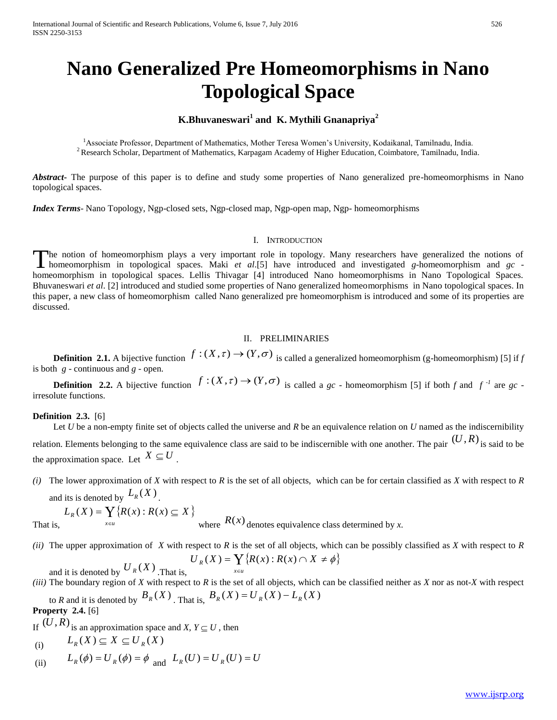# **Nano Generalized Pre Homeomorphisms in Nano Topological Space**

# **K.Bhuvaneswari<sup>1</sup> and K. Mythili Gnanapriya<sup>2</sup>**

<sup>1</sup>Associate Professor, Department of Mathematics, Mother Teresa Women's University, Kodaikanal, Tamilnadu, India. <sup>2</sup> Research Scholar, Department of Mathematics, Karpagam Academy of Higher Education, Coimbatore, Tamilnadu, India.

*Abstract***-** The purpose of this paper is to define and study some properties of Nano generalized pre-homeomorphisms in Nano topological spaces.

*Index Terms*- Nano Topology, Ngp-closed sets, Ngp-closed map, Ngp-open map, Ngp- homeomorphisms

### I. INTRODUCTION

The notion of homeomorphism plays a very important role in topology. Many researchers have generalized the notions of The notion of homeomorphism plays a very important role in topology. Many researchers have generalized the notions of homeomorphism in topological spaces. Maki *et al.*[5] have introduced and investigated *g*-homeomorphism homeomorphism in topological spaces. Lellis Thivagar [4] introduced Nano homeomorphisms in Nano Topological Spaces. Bhuvaneswari *et al*. [2] introduced and studied some properties of Nano generalized homeomorphisms in Nano topological spaces. In this paper, a new class of homeomorphism called Nano generalized pre homeomorphism is introduced and some of its properties are discussed.

#### II. PRELIMINARIES

**Definition 2.1.** A bijective function  $f:(X,\tau) \to (Y,\sigma)$  is called a generalized homeomorphism (g-homeomorphism) [5] if *f* is both *g* - continuous and *g* - open.

 **Definition 2.2.** A bijective function  $f:(X,\tau) \to (Y,\sigma)$  is called a *gc* - homeomorphism [5] if both *f* and  $f^{-1}$  are *gc* irresolute functions.

#### **Definition 2.3.** [6]

Let *U* be a non-empty finite set of objects called the universe and *R* be an equivalence relation on *U* named as the indiscernibility relation. Elements belonging to the same equivalence class are said to be indiscernible with one another. The pair  $(U, R)$  is said to be the approximation space. Let  $X \subseteq U$ .

*(i)* The lower approximation of *X* with respect to *R* is the set of all objects, which can be for certain classified as *X* with respect to *R* and its is denoted by  $L_R(X)$ .

That is,

 $\sum_{x \in u} \{R(x) : R(x) \subseteq X\}$ where  $R(x)$  denotes equivalence class determined by x.

*(ii)* The upper approximation of *X* with respect to *R* is the set of all objects, which can be possibly classified as *X* with respect to *R*

$$
U_R(X) = \sum_{x \in U} \{ R(x) : R(x) \cap X \neq \phi \}
$$

and it is denoted by  $U_R(X)$ . That is, *(iii)* The boundary region of *X* with respect to *R* is the set of all objects, which can be classified neither as *X* nor as not*-X* with respect to *R* and it is denoted by  $B_R(X)$ . That is,  $B_R(X) = U_R(X) - L_R(X)$ 

**Property 2.4.** [6]

If  $(U, R)$  is an approximation space and *X, Y*  $\subseteq U$ , then

(i) 
$$
L_R(X) \subseteq X \subseteq U_R(X)
$$

 $L_R(X) = \mathbf{Y} \{ R(x) : R(x) \subseteq X$ 

 $(X) = \bigvee \{ R(x) : R(x) \subseteq$ 

 $\in$ 

(ii) 
$$
L_R(\phi) = U_R(\phi) = \phi
$$
 and  $L_R(U) = U_R(U) = U$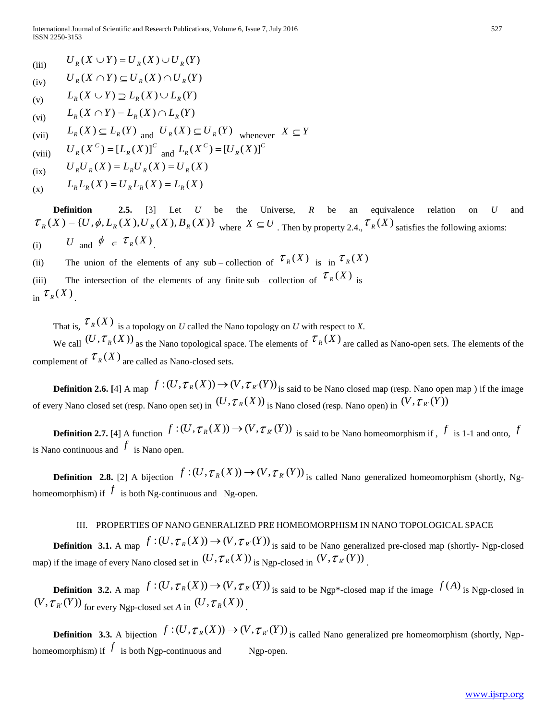- (iii)  $U_R(X \cup Y) = U_R(X) \cup U_R(Y)$
- $(iv)$  $U_p(X \cap Y) \subseteq U_p(X) \cap U_p(Y)$
- (v)  $L_p(X \cup Y) \supseteq L_p(X) \cup L_p(Y)$
- (vi)  $L_R(X \cap Y) = L_R(X) \cap L_R(Y)$

(vii) 
$$
L_R(X) \subseteq L_R(Y)
$$
 and  $U_R(X) \subseteq U_R(Y)$  whenever  $X \subseteq Y$ 

(viii) 
$$
U_R(X^C) = [L_R(X)]^C
$$
 and  $L_R(X^C) = [U_R(X)]^C$ 

$$
U_R U_R(X) = L_R U_R(X) = U_R(X)
$$

$$
L_R L_R(X) = U_R L_R(X) = L_R(X)
$$

 **Definition 2.5.** [3] Let *U* be the Universe, *R* be an equivalence relation on *U* and  $\mathcal{T}_R(X) = \{U, \phi, L_R(X), U_R(X), B_R(X)\}\$ where  $X \subseteq U$ . Then by property 2.4.,  $\mathcal{T}_R(X)$  satisfies the following axioms: (i) *U* and  $\phi \in \tau_R(X)$ .

(ii) The union of the elements of any sub – collection of  $\mathcal{T}_R(X)$  is in  $\mathcal{T}_R(X)$ 

(iii) The intersection of the elements of any finite sub – collection of  $\mathcal{T}_R(X)$  is in  $\mathcal{T}_R(X)$ .

That is,  $\mathcal{T}_R(X)$  is a topology on *U* called the Nano topology on *U* with respect to *X*. We call  $(U, \mathcal{T}_R(X))$  as the Nano topological space. The elements of  $\mathcal{T}_R(X)$  are called as Nano-open sets. The elements of the complement of  $\mathcal{T}_{R}(X)$  are called as Nano-closed sets.

**Definition 2.6.** [4] A map  $f:(U, \mathcal{T}_R(X)) \to (V, \mathcal{T}_{R'}(Y))$  is said to be Nano closed map (resp. Nano open map) if the image of every Nano closed set (resp. Nano open set) in  $(U, \mathcal{T}_R(X))$  is Nano closed (resp. Nano open) in  $(V, \mathcal{T}_{R'}(Y))$ 

**Definition 2.7.** [4] A function  $f:(U, \mathcal{T}_R(X)) \to (V, \mathcal{T}_{R'}(Y))$  is said to be Nano homeomorphism if ,  $f$  is 1-1 and onto,  $f$ is Nano continuous and  $f$  is Nano open.

**Definition** 2.8. [2] A bijection  $f:(U, \mathcal{T}_R(X)) \to (V, \mathcal{T}_{R'}(Y))$  is called Nano generalized homeomorphism (shortly, Nghomeomorphism) if  $f$  is both Ng-continuous and Ng-open.

## III. PROPERTIES OF NANO GENERALIZED PRE HOMEOMORPHISM IN NANO TOPOLOGICAL SPACE

**Definition** 3.1. A map  $f:(U, \mathcal{T}_R(X)) \to (V, \mathcal{T}_{R'}(Y))$  is said to be Nano generalized pre-closed map (shortly- Ngp-closed map) if the image of every Nano closed set in  $(U, \mathcal{T}_R(X))$  is Ngp-closed in  $(V, \mathcal{T}_{R'}(Y))$ .

**Definition** 3.2. A map  $f:(U, \tau_R(X)) \to (V, \tau_{R'}(Y))$  is said to be Ngp<sup>\*</sup>-closed map if the image  $f(A)$  is Ngp-closed in  $(V, \mathcal{T}_{R'}(Y))$  for every Ngp-closed set *A* in  $(U, \mathcal{T}_{R}(X))$ .

**Definition 3.3.** A bijection  $f:(U, \mathcal{T}_R(X)) \to (V, \mathcal{T}_{R'}(Y))$  is called Nano generalized pre homeomorphism (shortly, Ngphomeomorphism) if  $f$  is both Ngp-continuous and Ngp-open.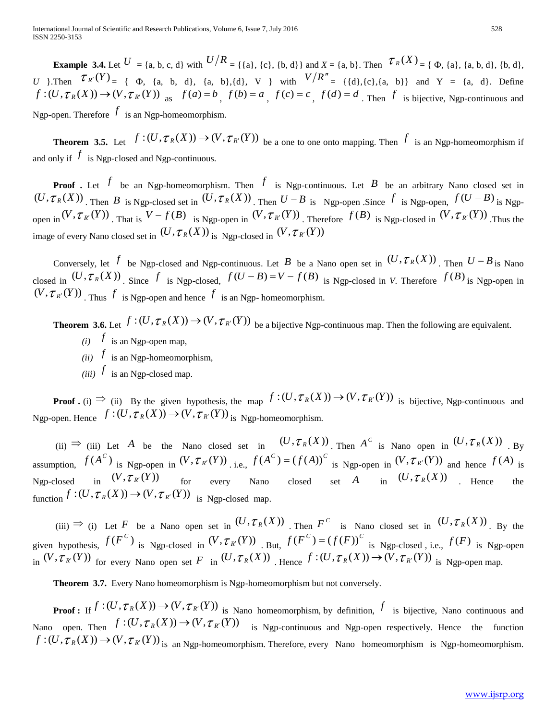**Example 3.4.** Let  $U = \{a, b, c, d\}$  with  $U/R = \{\{a\}, \{c\}, \{b, d\}\}$  and  $X = \{a, b\}$ . Then  $\mathcal{T}_R(X) = \{\Phi, \{a\}, \{a, b, d\}, \{b, d\}, \{c, d\}\}$ *U* }.Then  $\mathcal{T}_{R'}(Y) = \{ \Phi, \{a, b, d\}, \{a, b\}, \{d\}, V \}$  with  $V/R'' = \{ \{d\}, \{c\}, \{a, b\} \}$  and  $Y = \{a, d\}.$  Define  $f:(U,\tau_{R}(X))\to(V,\tau_{R}(Y))$  as  $f(a)=b$ ,  $f(b)=a$ ,  $f(c)=c$ ,  $f(d)=d$ . Then f is bijective, Ngp-continuous and Ngp-open. Therefore  $f$  is an Ngp-homeomorphism.

**Theorem 3.5.** Let  $f:(U, \mathcal{T}_R(X)) \to (V, \mathcal{T}_{R'}(Y))$  be a one to one onto mapping. Then  $f$  is an Ngp-homeomorphism if and only if  $f$  is Ngp-closed and Ngp-continuous.

**Proof** . Let  $f$  be an Ngp-homeomorphism. Then  $f$  is Ngp-continuous. Let  $B$  be an arbitrary Nano closed set in  $(U, \mathcal{T}_R(X))$ . Then B is Ngp-closed set in  $(U, \mathcal{T}_R(X))$ . Then  $U - B$  is Ngp-open. Since  $f$  is Ngp-open,  $f(U - B)$  is Ngpopen in  $(V, \tau_{R'}(Y))$ . That is  $V - f(B)$  is Ngp-open in  $(V, \tau_{R'}(Y))$ . Therefore  $f(B)$  is Ngp-closed in  $(V, \tau_{R'}(Y))$ . Thus the image of every Nano closed set in  $(U, \mathcal{T}_R(X))$  is Ngp-closed in  $(V, \mathcal{T}_{R'}(Y))$ 

Conversely, let  $f$  be Ngp-closed and Ngp-continuous. Let  $B$  be a Nano open set in  $(U, \mathcal{T}_R(X))$ . Then  $U - B$  is Nano closed in  $(U, \mathcal{T}_R(X))$ . Since f is Ngp-closed,  $f(U-B) = V - f(B)$  is Ngp-closed in *V*. Therefore  $f(B)$  is Ngp-open in  $(V, \mathcal{T}_{R'}(Y))$ . Thus  $f$  is Ngp-open and hence  $f$  is an Ngp-homeomorphism.

**Theorem 3.6.** Let  $f: (U, \mathcal{T}_R(X)) \to (V, \mathcal{T}_{R'}(Y))$  be a bijective Ngp-continuous map. Then the following are equivalent.  $(i)$  *f* is an Ngp-open map,

- 
- *(ii)*  $f$  is an Ngp-homeomorphism,
- *(iii)*  $f$  is an Ngp-closed map.

**Proof.** (i)  $\Rightarrow$  (ii) By the given hypothesis, the map  $f:(U, \mathcal{T}_R(X)) \to (V, \mathcal{T}_{R'}(Y))$  is bijective, Ngp-continuous and Ngp-open. Hence  $f:(U, \mathcal{T}_R(X)) \to (V, \mathcal{T}_{R'}(Y))$  is Ngp-homeomorphism.

(ii)  $\Rightarrow$  (iii) Let A be the Nano closed set in  $(U, \mathcal{T}_R(X))$ . Then  $A^C$  is Nano open in  $(U, \mathcal{T}_R(X))$ . By assumption,  $f(A^C)$  is Ngp-open in  $(V, \mathcal{T}_{R'}(Y))$  i.e.,  $f(A^C) = (f(A))^C$  is Ngp-open in  $(V, \mathcal{T}_{R'}(Y))$  and hence  $f(A)$  is Ngp-closed in  $(V, \mathcal{T}_{R'}(Y))$  for every Nano closed set A in  $(U, \mathcal{T}_{R}(X))$  . Hence the function  $f:(U, \mathcal{T}_R(X)) \to (V, \mathcal{T}_{R'}(Y))$  is Ngp-closed map.

 $(iii) \Rightarrow (i)$  Let F be a Nano open set in  $(U, \mathcal{T}_R(X))$ . Then  $F^c$  is Nano closed set in  $(U, \mathcal{T}_R(X))$ . By the given hypothesis,  $f(F^C)$  is Ngp-closed in  $(V, \mathcal{T}_{R'}(Y))$  But,  $f(F^C) = (f(F))^C$  is Ngp-closed, i.e.,  $f(F)$  is Ngp-open in  $(V, \mathcal{T}_{R}(Y))$  for every Nano open set F in  $(U, \mathcal{T}_{R}(X))$ . Hence  $f : (U, \mathcal{T}_{R}(X)) \to (V, \mathcal{T}_{R'}(Y))$  is Ngp-open map.

 **Theorem 3.7.** Every Nano homeomorphism is Ngp-homeomorphism but not conversely.

**Proof:** If  $f: (U, \tau_R(X)) \to (V, \tau_{R'}(Y))$  is Nano homeomorphism, by definition, f is bijective, Nano continuous and Nano open. Then  $f:(U, \mathcal{T}_R(X)) \to (V, \mathcal{T}_{R'}(Y))$  is Ngp-continuous and Ngp-open respectively. Hence the function  $f:(U, \mathcal{T}_{R}(X)) \to (V, \mathcal{T}_{R'}(Y))$  is an Ngp-homeomorphism. Therefore, every Nano homeomorphism is Ngp-homeomorphism.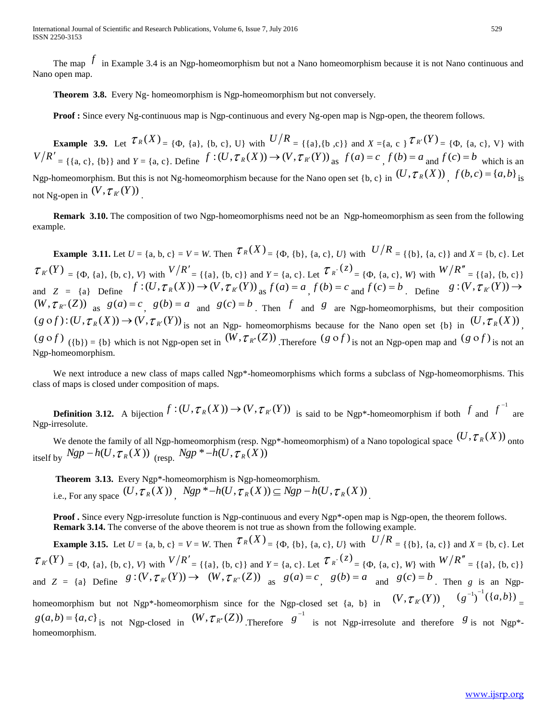The map  $f$  in Example 3.4 is an Ngp-homeomorphism but not a Nano homeomorphism because it is not Nano continuous and Nano open map.

 **Theorem 3.8.** Every Ng- homeomorphism is Ngp-homeomorphism but not conversely.

**Proof :** Since every Ng-continuous map is Ngp-continuous and every Ng-open map is Ngp-open, the theorem follows.

**Example 3.9.** Let  $\mathcal{T}_R(X) = \{ \Phi, \{a\}, \{b, c\}, U \}$  with  $U/R = \{ \{a\}, \{b, c\} \}$  and  $X = \{a, c\}$   $\mathcal{T}_{R'}(Y) = \{ \Phi, \{a, c\}, V \}$  with  $V/R' = \{\{a, c\}, \{b\}\}\$ and  $Y = \{a, c\}$ . Define  $f: (U, \mathcal{T}_R(X)) \to (V, \mathcal{T}_{R'}(Y))$  as  $f(a) = c \int f(b) = a$  and  $f(c) = b$  which is an Ngp-homeomorphism. But this is not Ng-homeomorphism because for the Nano open set  $\{b, c\}$  in  $(U, \mathcal{T}_R(X))$ ,  $f(b, c) = \{a, b\}$  is not Ng-open in  $(V, \tau_{R'}(Y))$ .

 **Remark 3.10.** The composition of two Ngp-homeomorphisms need not be an Ngp-homeomorphism as seen from the following example.

**Example 3.11.** Let  $U = \{a, b, c\} = V = W$ . Then  $\mathcal{T}_R(X) = \{\Phi, \{\mathbf{b}\}, \{\mathbf{a}, \mathbf{c}\}, U\}$  with  $U/R = \{\{\mathbf{b}\}, \{\mathbf{a}, \mathbf{c}\}\}\$  and  $X = \{\mathbf{b}, \mathbf{c}\}\$ . Let  $\mathcal{T}_{R'}(Y) = \{\Phi, \{a\}, \{b, c\}, V\}$  with  $V/R' = \{\{a\}, \{b, c\}\}\$  and  $Y = \{a, c\}$ . Let  $\mathcal{T}_{R'}(z) = \{\Phi, \{a, c\}, W\}$  with  $W/R'' = \{\{a\}, \{b, c\}\}\$ and  $Z = \{a\}$  Define  $f: (U, \mathcal{T}_R(X)) \to (V, \mathcal{T}_{R'}(Y))$  as  $f(a) = a \cdot f(b) = c$  and  $f(c) = b \cdot f(c) = b \cdot f(V, \mathcal{T}_{R'}(Y)) \to (V, \mathcal{T}_{R'}(Y))$  $(W, \tau_{R''}(Z))$  as  $g(a) = c$ ,  $g(b) = a$  and  $g(c) = b$ . Then f and g are Ngp-homeomorphisms, but their composition  $(g \circ f) : (U, \mathcal{T}_R(X)) \to (V, \mathcal{T}_{R'}(Y))$  is not an Ngp- homeomorphisms because for the Nano open set {b} in  $(U, \mathcal{T}_R(X))$ ,  $(g \circ f)$  ({b}) = {b} which is not Ngp-open set in  $(W, \tau_{R^r}(Z))$ . Therefore  $(g \circ f)$  is not an Ngp-open map and  $(g \circ f)$  is not an Ngp-homeomorphism.

We next introduce a new class of maps called Ngp\*-homeomorphisms which forms a subclass of Ngp-homeomorphisms. This class of maps is closed under composition of maps.

**Definition 3.12.** A bijection  $f:(U, \mathcal{T}_R(X)) \to (V, \mathcal{T}_{R'}(Y))$  is said to be Ngp<sup>\*</sup>-homeomorphism if both  $f$  and  $f^{-1}$ are Ngp-irresolute.

We denote the family of all Ngp-homeomorphism (resp. Ngp<sup>\*</sup>-homeomorphism) of a Nano topological space  $(U, \mathcal{T}_R(X))$  onto itself by  $Ngp - h(U, \tau_R(X))$  (resp.  $Ngp * -h(U, \tau_R(X))$ )

 **Theorem 3.13.** Every Ngp\*-homeomorphism is Ngp-homeomorphism. i.e., For any space  $(U, \tau_R(X))$ ,  $Ngp^* - h(U, \tau_R(X)) \subseteq Ngp - h(U, \tau_R(X))$ .

**Proof.** Since every Ngp-irresolute function is Ngp-continuous and every Ngp<sup>\*</sup>-open map is Ngp-open, the theorem follows.  **Remark 3.14.** The converse of the above theorem is not true as shown from the following example.

**Example 3.15.** Let  $U = \{a, b, c\} = V = W$ . Then  $\mathcal{T}_R(X) = \{\Phi, \{\mathbf{b}\}, \{\mathbf{a}, \mathbf{c}\}, U\}$  with  $U/R = \{\{\mathbf{b}\}, \{\mathbf{a}, \mathbf{c}\}\}\$  and  $X = \{\mathbf{b}, \mathbf{c}\}\$ . Let  $\mathcal{T}_{R'}(Y) = \{\Phi, \{a\}, \{b, c\}, V\}$  with  $V/R' = \{\{a\}, \{b, c\}\}\$  and  $Y = \{a, c\}$ . Let  $\mathcal{T}_{R'}(z) = \{\Phi, \{a, c\}, W\}$  with  $W/R'' = \{\{a\}, \{b, c\}\}\$ and  $Z = \{a\}$  Define  $g:(V, \mathcal{T}_{R}(Y)) \to (W, \mathcal{T}_{R''}(Z))$  as  $g(a) = c$ ,  $g(b) = a$  and  $g(c) = b$ . Then g is an Ngphomeomorphism but not Ngp\*-homeomorphism since for the Ngp-closed set {a, b} in  $(V, \mathcal{T}_{R'}(Y))$ ,  $(g^{-1})^{-1}(\lbrace a,b \rbrace)$ =

 $g(a,b) = \{a,c\}$  is not Ngp-closed in  $(W, \mathcal{T}_{R'}(Z))$  Therefore  $g^{-1}$ is not Ngp-irresolute and therefore  $g$  is not Ngp<sup>\*</sup>homeomorphism.